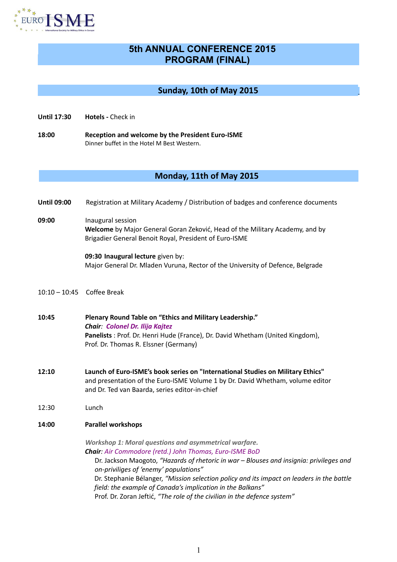

# **5th ANNUAL CONFERENCE 2015 PROGRAM (FINAL)**

### **Sunday, 10th of May 2015**

- **Until 17:30 Hotels** Check in
- **18:00 Reception and welcome by the President Euro-ISME** Dinner buffet in the Hotel M Best Western.

## **Monday, 11th of May 2015**

- **Until 09:00** Registration at Military Academy / Distribution of badges and conference documents
- **09:00** Inaugural session **Welcome** by Major General Goran Zeković, Head of the Military Academy, and by Brigadier General Benoit Royal, President of Euro-ISME

**09:30 Inaugural lecture** given by: Major General Dr. Mladen Vuruna, Rector of the University of Defence, Belgrade

- 10:10 10:45 Coffee Break
- **10:45 Plenary Round Table on "Ethics and Military Leadership."**  *Chair: Colonel Dr. Ilija Kajtez*  **Panelists** : Prof. Dr. Henri Hude (France), Dr. David Whetham (United Kingdom), Prof. Dr. Thomas R. Elssner (Germany)
- **12:10 Launch of Euro-ISME's book series on "International Studies on Military Ethics"** and presentation of the Euro-ISME Volume 1 by Dr. David Whetham, volume editor and Dr. Ted van Baarda, series editor-in-chief
- 12:30 Lunch
- **14:00 Parallel workshops**

*Workshop 1: Moral questions and asymmetrical warfare. Chair: Air Commodore (retd.) John Thomas, Euro-ISME BoD*

Dr. Jackson Maogoto, *"Hazards of rhetoric in war – Blouses and insignia: privileges and on-priviliges of 'enemy' populations"* Dr. Stephanie Bélanger, *"Mission selection policy and its impact on leaders in the battle field: the example of Canada's implication in the Balkans"* Prof. Dr. Zoran Jeftić, *"The role of the civilian in the defence system"*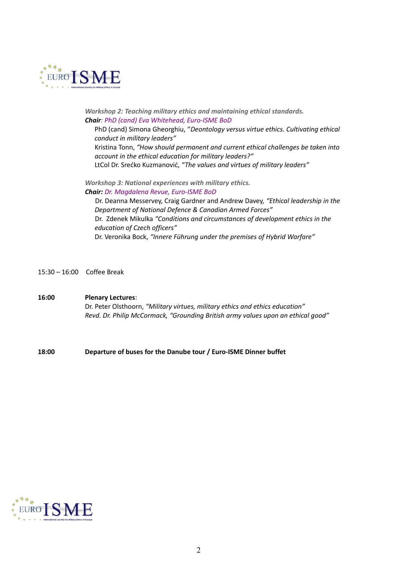

*Workshop 2: Teaching military ethics and maintaining ethical standards. Chair: PhD (cand) Eva Whitehead, Euro-ISME BoD*

PhD (cand) Simona Gheorghiu, "*Deontology versus virtue ethics. Cultivating ethical conduct in military leaders"* Kristina Tonn, *"How should permanent and current ethical challenges be taken into account in the ethical education for military leaders?"* LtCol Dr. Srećko Kuzmanović, *"The values and virtues of military leaders"*

*Workshop 3: National experiences with military ethics. Chair: Dr. Magdalena Revue, Euro-ISME BoD*

Dr. Deanna Messervey, Craig Gardner and Andrew Davey, *"Ethical leadership in the Department of National Defence & Canadian Armed Forces"* Dr. Zdenek Mikulka *"Conditions and circumstances of development ethics in the education of Czech officers"* Dr. Veronika Bock, *"Innere Führung under the premises of Hybrid Warfare"*

15:30 – 16:00 Coffee Break

**16:00 Plenary Lectures**: Dr. Peter Olsthoorn, *"Military virtues, military ethics and ethics education" Revd. Dr. Philip McCormack, "Grounding British army values upon an ethical good"*

**18:00 Departure of buses for the Danube tour / Euro-ISME Dinner buffet**

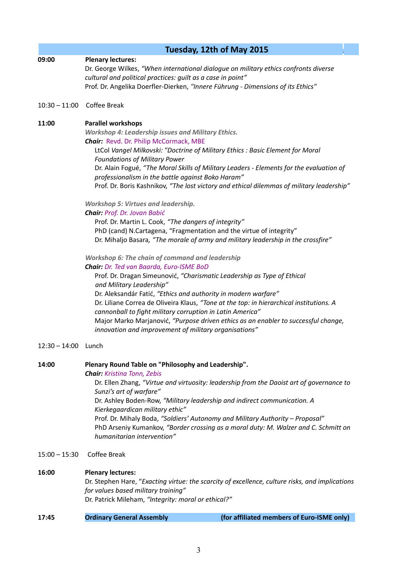|                       | Tuesday, 12th of May 2015                                                                                                                                            |
|-----------------------|----------------------------------------------------------------------------------------------------------------------------------------------------------------------|
| 09:00                 | <b>Plenary lectures:</b>                                                                                                                                             |
|                       | Dr. George Wilkes, "When international dialogue on military ethics confronts diverse                                                                                 |
|                       | cultural and political practices: guilt as a case in point"                                                                                                          |
|                       | Prof. Dr. Angelika Doerfler-Dierken, "Innere Führung - Dimensions of its Ethics"                                                                                     |
| $10:30 - 11:00$       | Coffee Break                                                                                                                                                         |
| 11:00                 | <b>Parallel workshops</b>                                                                                                                                            |
|                       | <b>Workshop 4: Leadership issues and Military Ethics.</b>                                                                                                            |
|                       | <b>Chair:</b> Revd. Dr. Philip McCormack, MBE                                                                                                                        |
|                       | LtCol Vangel Milkovski: "Doctrine of Military Ethics : Basic Element for Moral                                                                                       |
|                       | <b>Foundations of Military Power</b>                                                                                                                                 |
|                       | Dr. Alain Fogué, "The Moral Skills of Military Leaders - Elements for the evaluation of                                                                              |
|                       | professionalism in the battle against Boko Haram"                                                                                                                    |
|                       | Prof. Dr. Boris Kashnikov, "The lost victory and ethical dilemmas of military leadership"                                                                            |
|                       | <b>Workshop 5: Virtues and leadership.</b>                                                                                                                           |
|                       | Chair: Prof. Dr. Jovan Babić                                                                                                                                         |
|                       | Prof. Dr. Martin L. Cook, "The dangers of integrity"                                                                                                                 |
|                       | PhD (cand) N.Cartagena, "Fragmentation and the virtue of integrity"                                                                                                  |
|                       | Dr. Mihaljo Basara, "The morale of army and military leadership in the crossfire"                                                                                    |
|                       | Workshop 6: The chain of command and leadership                                                                                                                      |
|                       | Chair: Dr. Ted van Baarda, Euro-ISME BoD                                                                                                                             |
|                       | Prof. Dr. Dragan Simeunović, "Charismatic Leadership as Type of Ethical                                                                                              |
|                       | and Military Leadership"                                                                                                                                             |
|                       | Dr. Aleksandár Fatić, "Ethics and authority in modern warfare"                                                                                                       |
|                       | Dr. Liliane Correa de Oliveira Klaus, "Tone at the top: in hierarchical institutions. A                                                                              |
|                       | cannonball to fight military corruption in Latin America"                                                                                                            |
|                       | Major Marko Marjanović, "Purpose driven ethics as an enabler to successful change,                                                                                   |
|                       | innovation and improvement of military organisations"                                                                                                                |
| $12:30 - 14:00$ Lunch |                                                                                                                                                                      |
| 14:00                 | Plenary Round Table on "Philosophy and Leadership".                                                                                                                  |
|                       | <b>Chair:</b> Kristina Tonn, Zebis                                                                                                                                   |
|                       | Dr. Ellen Zhang, "Virtue and virtuosity: leadership from the Daoist art of governance to                                                                             |
|                       | Sunzi's art of warfare"                                                                                                                                              |
|                       | Dr. Ashley Boden-Row, "Military leadership and indirect communication. A                                                                                             |
|                       | Kierkegaardican military ethic"                                                                                                                                      |
|                       | Prof. Dr. Mihaly Boda, "Soldiers' Autonomy and Military Authority - Proposal"<br>PhD Arseniy Kumankov, "Border crossing as a moral duty: M. Walzer and C. Schmitt on |
|                       | humanitarian intervention"                                                                                                                                           |
| $15:00 - 15:30$       | <b>Coffee Break</b>                                                                                                                                                  |
|                       |                                                                                                                                                                      |
| 16:00                 | <b>Plenary lectures:</b>                                                                                                                                             |

Dr. Stephen Hare, "*Exacting virtue: the scarcity of excellence, culture risks, and implications for values based military training"* Dr. Patrick Mileham, *"Integrity: moral or ethical?"*

## **17:45 Ordinary General Assembly (for affiliated members of Euro-ISME only)**